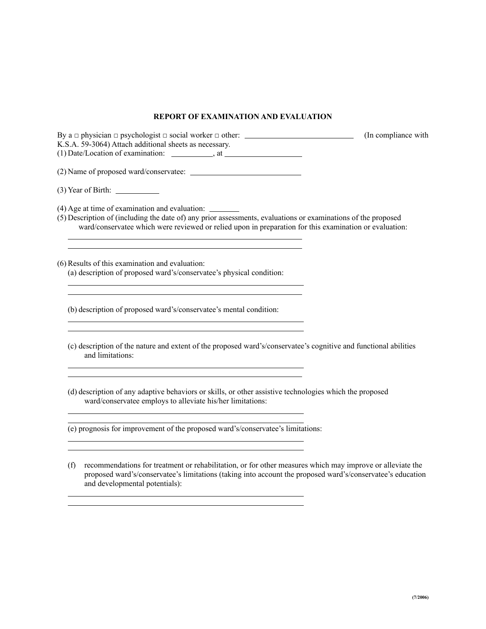## **REPORT OF EXAMINATION AND EVALUATION**

| K.S.A. 59-3064) Attach additional sheets as necessary.                                                                                                                                                                                                                              | (In compliance with |
|-------------------------------------------------------------------------------------------------------------------------------------------------------------------------------------------------------------------------------------------------------------------------------------|---------------------|
|                                                                                                                                                                                                                                                                                     |                     |
| $(3)$ Year of Birth: $\_\_\_\_\_\_\_\_\_\_\_\_\_\_\_\_\_\_\_\_\_\_\_$                                                                                                                                                                                                               |                     |
| (4) Age at time of examination and evaluation: _________<br>(5) Description of (including the date of) any prior assessments, evaluations or examinations of the proposed<br>ward/conservatee which were reviewed or relied upon in preparation for this examination or evaluation: |                     |
| <u> 1989 - Johann Stoff, deutscher Stoff, der Stoff, der Stoff, der Stoff, der Stoff, der Stoff, der Stoff, der S</u><br>(6) Results of this examination and evaluation:<br>(a) description of proposed ward's/conservatee's physical condition:                                    |                     |
| (b) description of proposed ward's/conservatee's mental condition:<br><u> 1989 - Johann Stoff, deutscher Stoffen und der Stoffen und der Stoffen und der Stoffen und der Stoffen und der</u>                                                                                        |                     |
| <u> 1989 - Johann Stein, mars an deutscher Stein und der Stein und der Stein und der Stein und der Stein und der</u><br>(c) description of the nature and extent of the proposed ward's/conservatee's cognitive and functional abilities<br>and limitations:                        |                     |
| <u> 1989 - Johann Barbara, martxa alemaniar arg</u><br>(d) description of any adaptive behaviors or skills, or other assistive technologies which the proposed<br>ward/conservatee employs to alleviate his/her limitations:                                                        |                     |
| (e) prognosis for improvement of the proposed ward's/conservatee's limitations:                                                                                                                                                                                                     |                     |

(f) recommendations for treatment or rehabilitation, or for other measures which may improve or alleviate the proposed ward's/conservatee's limitations (taking into account the proposed ward's/conservatee's education and developmental potentials):

 $\overline{a}$